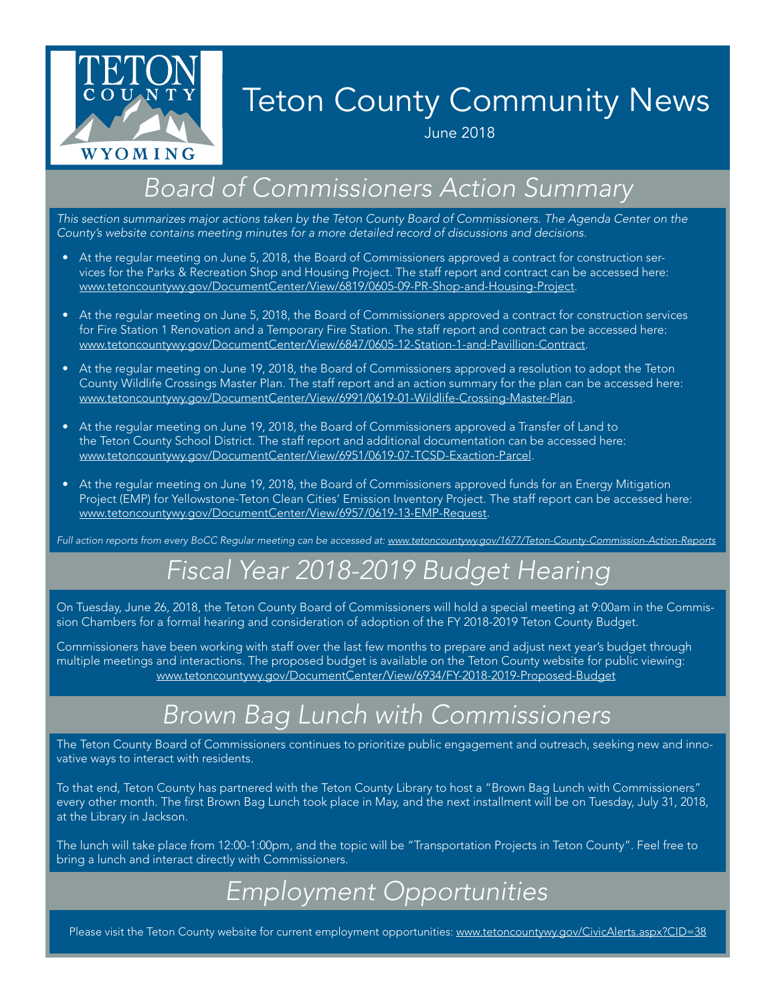

# Teton County Community News

June 2018

### *Board of Commissioners Action Summary*

*This section summarizes major actions taken by the Teton County Board of Commissioners. The Agenda Center on the County's website contains meeting minutes for a more detailed record of discussions and decisions.*

- At the regular meeting on June 5, 2018, the Board of Commissioners approved a contract for construction services for the Parks & Recreation Shop and Housing Project. The staff report and contract can be accessed here: [www.tetoncountywy.gov/DocumentCenter/View/6819/0605-09-PR-Shop-and-Housing-Project](http://www.tetoncountywy.gov/DocumentCenter/View/6819/0605-09-PR-Shop-and-Housing-Project).
- At the regular meeting on June 5, 2018, the Board of Commissioners approved a contract for construction services for Fire Station 1 Renovation and a Temporary Fire Station. The staff report and contract can be accessed here: [www.tetoncountywy.gov/DocumentCenter/View/6847/0605-12-Station-1-and-Pavillion-Contract.](http://www.tetoncountywy.gov/DocumentCenter/View/6847/0605-12-Station-1-and-Pavillion-Contract)
- At the regular meeting on June 19, 2018, the Board of Commissioners approved a resolution to adopt the Teton County Wildlife Crossings Master Plan. The staff report and an action summary for the plan can be accessed here: [www.tetoncountywy.gov/DocumentCenter/View/6991/0619-01-Wildlife-Crossing-Master-Plan.](http://www.tetoncountywy.gov/DocumentCenter/View/6991/0619-01-Wildlife-Crossing-Master-Plan)
- At the regular meeting on June 19, 2018, the Board of Commissioners approved a Transfer of Land to the Teton County School District. The staff report and additional documentation can be accessed here: [www.tetoncountywy.gov/DocumentCenter/View/6951/0619-07-TCSD-Exaction-Parcel](http://www.tetoncountywy.gov/DocumentCenter/View/6951/0619-07-TCSD-Exaction-Parcel).
- At the regular meeting on June 19, 2018, the Board of Commissioners approved funds for an Energy Mitigation Project (EMP) for Yellowstone-Teton Clean Cities' Emission Inventory Project. The staff report can be accessed here: [www.tetoncountywy.gov/DocumentCenter/View/6957/0619-13-EMP-Request](http://www.tetoncountywy.gov/DocumentCenter/View/6957/0619-13-EMP-Request).

*Full action reports from every BoCC Regular meeting can be accessed at: [www.tetoncountywy.gov/1677/Teton-County-Commission-Action-Reports](http://www.tetoncountywy.gov/1677/Teton-County-Commission-Action-Reports)*

### *Fiscal Year 2018-2019 Budget Hearing*

On Tuesday, June 26, 2018, the Teton County Board of Commissioners will hold a special meeting at 9:00am in the Commission Chambers for a formal hearing and consideration of adoption of the FY 2018-2019 Teton County Budget.

Commissioners have been working with staff over the last few months to prepare and adjust next year's budget through multiple meetings and interactions. The proposed budget is available on the Teton County website for public viewing: [www.tetoncountywy.gov/DocumentCenter/View/6934/FY-2018-2019-Proposed-Budget](http://www.tetoncountywy.gov/DocumentCenter/View/6934/FY-2018-2019-Proposed-Budget)

### *Brown Bag Lunch with Commissioners*

The Teton County Board of Commissioners continues to prioritize public engagement and outreach, seeking new and innovative ways to interact with residents.

To that end, Teton County has partnered with the Teton County Library to host a "Brown Bag Lunch with Commissioners" every other month. The first Brown Bag Lunch took place in May, and the next installment will be on Tuesday, July 31, 2018, at the Library in Jackson.

The lunch will take place from 12:00-1:00pm, and the topic will be "Transportation Projects in Teton County". Feel free to bring a lunch and interact directly with Commissioners.

### *Employment Opportunities*

Please visit the Teton County website for current employment opportunities: [www.tetoncountywy.gov/CivicAlerts.aspx?CID=38](http://www.tetoncountywy.gov/CivicAlerts.aspx?CID=38)